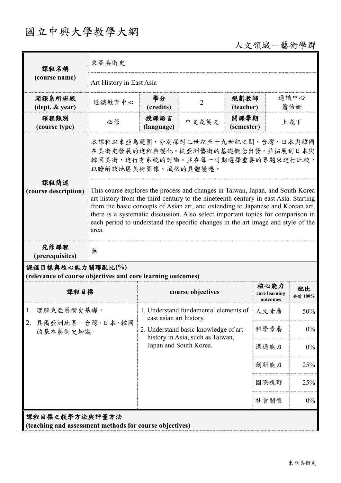## 國立中興大學教學大綱

人文領域-藝術學群

| 課程名稱                                                                            | 東亞美術史                                                                                                                                                                                                                                                                                                                                                                                                                                     |                                                                          |                   |                    |                                   |               |  |
|---------------------------------------------------------------------------------|-------------------------------------------------------------------------------------------------------------------------------------------------------------------------------------------------------------------------------------------------------------------------------------------------------------------------------------------------------------------------------------------------------------------------------------------|--------------------------------------------------------------------------|-------------------|--------------------|-----------------------------------|---------------|--|
| (course name)                                                                   | Art History in East Asia                                                                                                                                                                                                                                                                                                                                                                                                                  |                                                                          |                   |                    |                                   |               |  |
| 開課系所班級<br>$(\text{dept.} \& \text{ year})$                                      | 通識教育中心                                                                                                                                                                                                                                                                                                                                                                                                                                    | 學分<br>(credits)                                                          | $\overline{2}$    | 規劃教師<br>(teacher)  |                                   | 通識中心<br>蕭怡姍   |  |
| 課程類別<br>(course type)                                                           | 必修                                                                                                                                                                                                                                                                                                                                                                                                                                        | 授課語言<br>(language)                                                       | 中文或英文             | 開課學期<br>(semester) |                                   | 上或下           |  |
|                                                                                 | 本課程以東亞為範圍,分別探討三世紀至十九世紀之間,台灣、日本與韓國<br>在美術史發展的進程與變化。從亞洲藝術的基礎概念出發,並拓展到日本與<br>韓國美術,進行有系統的討論。並在每一時期選擇重要的專題來進行比較,<br>以瞭解該地區美術圖像、風格的具體變遷。                                                                                                                                                                                                                                                                                                        |                                                                          |                   |                    |                                   |               |  |
| 課程簡述<br>(course description)                                                    | This course explores the process and changes in Taiwan, Japan, and South Korea<br>art history from the third century to the nineteenth century in east Asia. Starting<br>from the basic concepts of Asian art, and extending to Japanese and Korean art,<br>there is a systematic discussion. Also select important topics for comparison in<br>each period to understand the specific changes in the art image and style of the<br>area. |                                                                          |                   |                    |                                   |               |  |
| 先修課程<br>(prerequisites)                                                         | 無                                                                                                                                                                                                                                                                                                                                                                                                                                         |                                                                          |                   |                    |                                   |               |  |
| 課程目標與核心能力關聯配比(%)<br>(relevance of course objectives and core learning outcomes) |                                                                                                                                                                                                                                                                                                                                                                                                                                           |                                                                          |                   |                    |                                   |               |  |
| 課程目標                                                                            |                                                                                                                                                                                                                                                                                                                                                                                                                                           |                                                                          | course objectives |                    | 核心能力<br>core learning<br>outcomes | 配比<br>合計 100% |  |
| 理解東亞藝術史基礎。<br>1.<br>具備亞洲地區一台灣、日本、韓國<br>2.<br>的基本藝術史知識。                          |                                                                                                                                                                                                                                                                                                                                                                                                                                           | 1. Understand fundamental elements of<br>east asian art history.         |                   |                    | 人文素養                              | 50%           |  |
|                                                                                 |                                                                                                                                                                                                                                                                                                                                                                                                                                           | 2. Understand basic knowledge of art<br>history in Asia, such as Taiwan, |                   | 科學素養               | $0\%$                             |               |  |
|                                                                                 |                                                                                                                                                                                                                                                                                                                                                                                                                                           | Japan and South Korea.                                                   |                   |                    | 溝通能力                              | $0\%$         |  |
|                                                                                 |                                                                                                                                                                                                                                                                                                                                                                                                                                           |                                                                          |                   |                    | 創新能力                              | 25%           |  |
|                                                                                 |                                                                                                                                                                                                                                                                                                                                                                                                                                           |                                                                          |                   |                    | 國際視野                              | 25%           |  |
|                                                                                 |                                                                                                                                                                                                                                                                                                                                                                                                                                           |                                                                          |                   |                    | 社會關懷                              | $0\%$         |  |
| 課程目標之教學方法與評量方法<br>(teaching and assessment methods for course objectives)       |                                                                                                                                                                                                                                                                                                                                                                                                                                           |                                                                          |                   |                    |                                   |               |  |